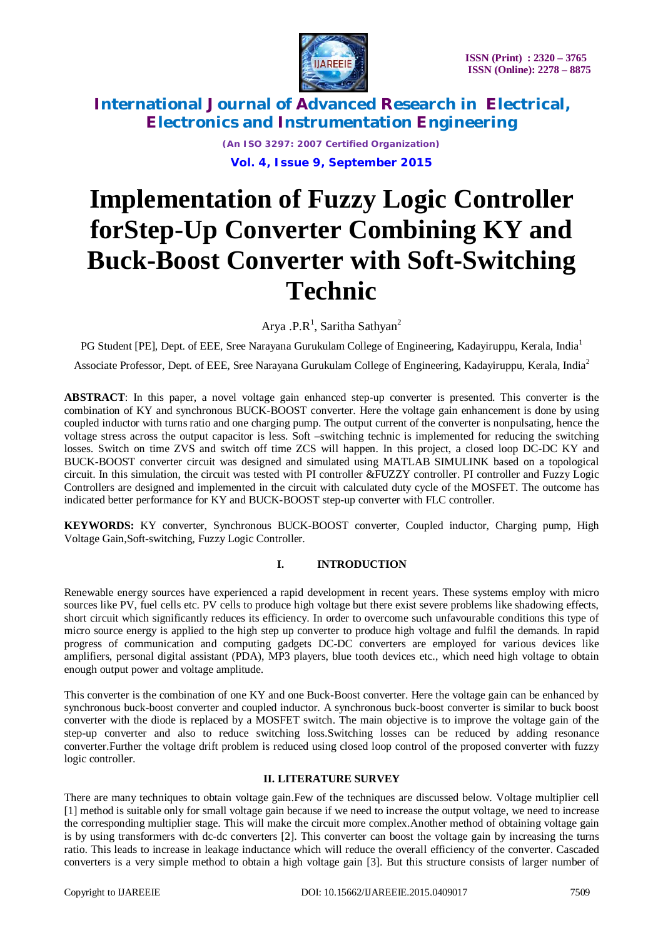

*(An ISO 3297: 2007 Certified Organization)* **Vol. 4, Issue 9, September 2015**

# **Implementation of Fuzzy Logic Controller forStep-Up Converter Combining KY and Buck-Boost Converter with Soft-Switching Technic**

Arya .P.R<sup>1</sup>, Saritha Sathyan<sup>2</sup>

PG Student [PE], Dept. of EEE, Sree Narayana Gurukulam College of Engineering, Kadayiruppu, Kerala, India<sup>1</sup>

Associate Professor*,* Dept. of EEE, Sree Narayana Gurukulam College of Engineering, Kadayiruppu, Kerala, India<sup>2</sup>

**ABSTRACT**: In this paper, a novel voltage gain enhanced step-up converter is presented. This converter is the combination of KY and synchronous BUCK-BOOST converter. Here the voltage gain enhancement is done by using coupled inductor with turns ratio and one charging pump. The output current of the converter is nonpulsating, hence the voltage stress across the output capacitor is less. Soft –switching technic is implemented for reducing the switching losses. Switch on time ZVS and switch off time ZCS will happen. In this project, a closed loop DC-DC KY and BUCK-BOOST converter circuit was designed and simulated using MATLAB SIMULINK based on a topological circuit. In this simulation, the circuit was tested with PI controller &FUZZY controller. PI controller and Fuzzy Logic Controllers are designed and implemented in the circuit with calculated duty cycle of the MOSFET. The outcome has indicated better performance for KY and BUCK-BOOST step-up converter with FLC controller.

**KEYWORDS:** KY converter, Synchronous BUCK-BOOST converter, Coupled inductor, Charging pump, High Voltage Gain,Soft-switching, Fuzzy Logic Controller.

### **I. INTRODUCTION**

Renewable energy sources have experienced a rapid development in recent years. These systems employ with micro sources like PV, fuel cells etc. PV cells to produce high voltage but there exist severe problems like shadowing effects, short circuit which significantly reduces its efficiency. In order to overcome such unfavourable conditions this type of micro source energy is applied to the high step up converter to produce high voltage and fulfil the demands. In rapid progress of communication and computing gadgets DC-DC converters are employed for various devices like amplifiers, personal digital assistant (PDA), MP3 players, blue tooth devices etc., which need high voltage to obtain enough output power and voltage amplitude.

This converter is the combination of one KY and one Buck-Boost converter. Here the voltage gain can be enhanced by synchronous buck-boost converter and coupled inductor. A synchronous buck-boost converter is similar to buck boost converter with the diode is replaced by a MOSFET switch. The main objective is to improve the voltage gain of the step-up converter and also to reduce switching loss.Switching losses can be reduced by adding resonance converter.Further the voltage drift problem is reduced using closed loop control of the proposed converter with fuzzy logic controller.

### **II. LITERATURE SURVEY**

There are many techniques to obtain voltage gain.Few of the techniques are discussed below. Voltage multiplier cell [1] method is suitable only for small voltage gain because if we need to increase the output voltage, we need to increase the corresponding multiplier stage. This will make the circuit more complex.Another method of obtaining voltage gain is by using transformers with dc-dc converters [2]. This converter can boost the voltage gain by increasing the turns ratio. This leads to increase in leakage inductance which will reduce the overall efficiency of the converter. Cascaded converters is a very simple method to obtain a high voltage gain [3]. But this structure consists of larger number of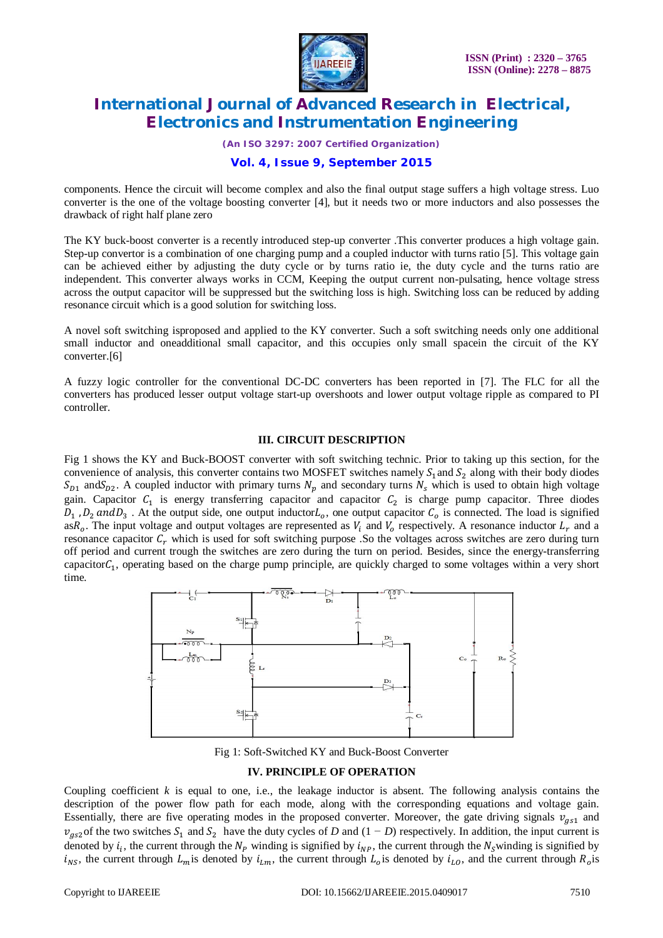

*(An ISO 3297: 2007 Certified Organization)*

### **Vol. 4, Issue 9, September 2015**

components. Hence the circuit will become complex and also the final output stage suffers a high voltage stress. Luo converter is the one of the voltage boosting converter [4], but it needs two or more inductors and also possesses the drawback of right half plane zero

The KY buck-boost converter is a recently introduced step-up converter .This converter produces a high voltage gain. Step-up convertor is a combination of one charging pump and a coupled inductor with turns ratio [5]. This voltage gain can be achieved either by adjusting the duty cycle or by turns ratio ie, the duty cycle and the turns ratio are independent. This converter always works in CCM, Keeping the output current non-pulsating, hence voltage stress across the output capacitor will be suppressed but the switching loss is high. Switching loss can be reduced by adding resonance circuit which is a good solution for switching loss.

A novel soft switching isproposed and applied to the KY converter. Such a soft switching needs only one additional small inductor and oneadditional small capacitor, and this occupies only small spacein the circuit of the KY converter.[6]

A fuzzy logic controller for the conventional DC-DC converters has been reported in [7]. The FLC for all the converters has produced lesser output voltage start-up overshoots and lower output voltage ripple as compared to PI controller.

#### **III. CIRCUIT DESCRIPTION**

Fig 1 shows the KY and Buck-BOOST converter with soft switching technic. Prior to taking up this section, for the convenience of analysis, this converter contains two MOSFET switches namely  $S_1$  and  $S_2$  along with their body diodes  $S_{D1}$  and  $S_{D2}$ . A coupled inductor with primary turns  $N_p$  and secondary turns  $N_s$  which is used to obtain high voltage gain. Capacitor  $C_1$  is energy transferring capacitor and capacitor  $C_2$  is charge pump capacitor. Three diodes  $D_1$ ,  $D_2$  and  $D_3$ . At the output side, one output inductor $L_o$ , one output capacitor  $C_o$  is connected. The load is signified as $R_o$ . The input voltage and output voltages are represented as  $V_i$  and  $V_o$  respectively. A resonance inductor  $L_r$  and a resonance capacitor  $C_r$  which is used for soft switching purpose .So the voltages across switches are zero during turn off period and current trough the switches are zero during the turn on period. Besides, since the energy-transferring capacitor $C_1$ , operating based on the charge pump principle, are quickly charged to some voltages within a very short time.



Fig 1: Soft-Switched KY and Buck-Boost Converter

### **IV. PRINCIPLE OF OPERATION**

Coupling coefficient *k* is equal to one, i.e., the leakage inductor is absent. The following analysis contains the description of the power flow path for each mode, along with the corresponding equations and voltage gain. Essentially, there are five operating modes in the proposed converter. Moreover, the gate driving signals  $v_{gs1}$  and  $v_{gs2}$  of the two switches  $S_1$  and  $S_2$  have the duty cycles of *D* and  $(1 - D)$  respectively. In addition, the input current is denoted by  $i_i$ , the current through the  $N_p$  winding is signified by  $i_{NP}$ , the current through the  $N_s$  winding is signified by  $i_{NS}$ , the current through  $L_m$  is denoted by  $i_{Lm}$ , the current through  $L_o$  is denoted by  $i_{LO}$ , and the current through  $R_o$  is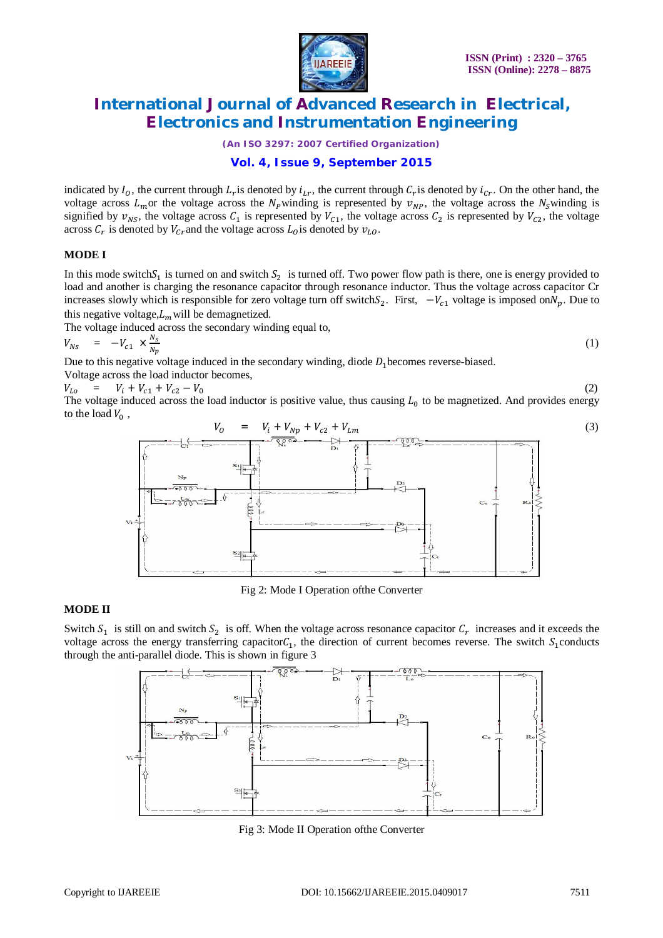

*(An ISO 3297: 2007 Certified Organization)*

### **Vol. 4, Issue 9, September 2015**

indicated by  $I_0$ , the current through  $L_r$  is denoted by  $i_{L_r}$ , the current through  $C_r$  is denoted by  $i_{Cr}$ . On the other hand, the voltage across  $L_m$ or the voltage across the  $N_p$ winding is represented by  $v_{NP}$ , the voltage across the  $N_s$ winding is signified by  $v_{NS}$ , the voltage across  $C_1$  is represented by  $V_{c1}$ , the voltage across  $C_2$  is represented by  $V_{c2}$ , the voltage across  $C_r$  is denoted by  $V_{cr}$  and the voltage across  $L_o$  is denoted by  $v_{Lo}$ .

#### **MODE I**

In this mode switch $S_1$  is turned on and switch  $S_2$  is turned off. Two power flow path is there, one is energy provided to load and another is charging the resonance capacitor through resonance inductor. Thus the voltage across capacitor Cr increases slowly which is responsible for zero voltage turn off switch $S_2$ . First,  $-V_{c1}$  voltage is imposed on $N_p$ . Due to this negative voltage, $L_m$  will be demagnetized.

The voltage induced across the secondary winding equal to,

$$
V_{Ns} = -V_{c1} \times \frac{N_s}{N_p} \tag{1}
$$

Due to this negative voltage induced in the secondary winding, diode  $D_1$  becomes reverse-biased. Voltage across the load inductor becomes,

 $V_{Lo} = V_i + V_{c1} + V_{c2} - V_0$  (2)

The voltage induced across the load inductor is positive value, thus causing  $L_0$  to be magnetized. And provides energy to the load  $V_0$ ,



Fig 2: Mode I Operation ofthe Converter

#### **MODE II**

Switch  $S_1$  is still on and switch  $S_2$  is off. When the voltage across resonance capacitor  $C_r$  increases and it exceeds the voltage across the energy transferring capacitor $C_1$ , the direction of current becomes reverse. The switch  $S_1$ conducts through the anti-parallel diode. This is shown in figure 3



Fig 3: Mode II Operation ofthe Converter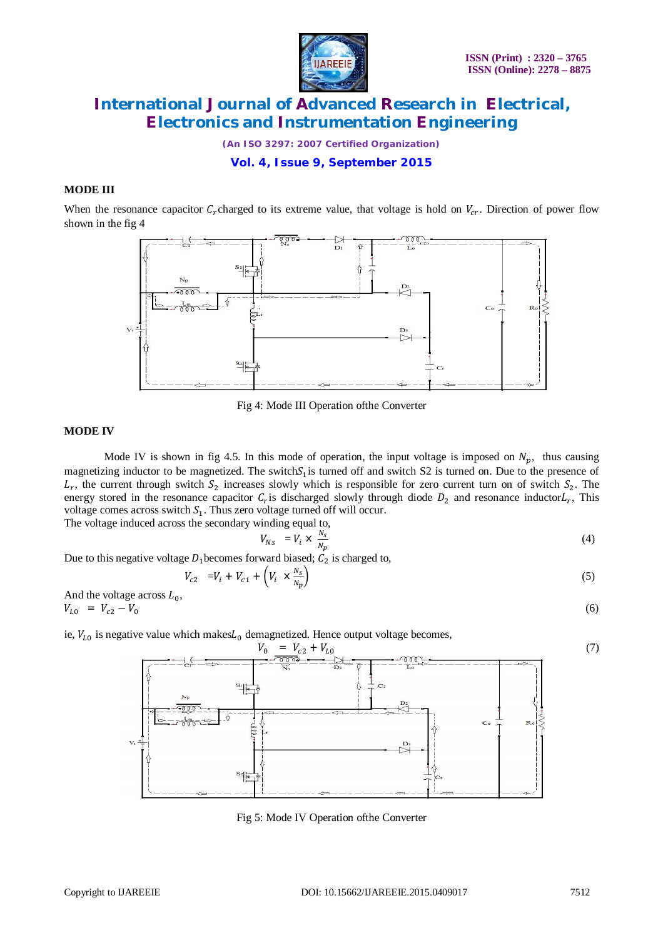

*(An ISO 3297: 2007 Certified Organization)*

**Vol. 4, Issue 9, September 2015**

#### **MODE III**

When the resonance capacitor  $C_r$ charged to its extreme value, that voltage is hold on  $V_{cr}$ . Direction of power flow shown in the fig 4



Fig 4: Mode III Operation ofthe Converter

#### **MODE IV**

Mode IV is shown in fig 4.5. In this mode of operation, the input voltage is imposed on  $N_n$ , thus causing magnetizing inductor to be magnetized. The switch $S_1$  is turned off and switch S2 is turned on. Due to the presence of  $L_r$ , the current through switch  $S_2$  increases slowly which is responsible for zero current turn on of switch  $S_2$ . The energy stored in the resonance capacitor  $C_r$  is discharged slowly through diode  $D_2$  and resonance inductor $L_r$ , This voltage comes across switch  $S<sub>1</sub>$ . Thus zero voltage turned off will occur. The voltage induced across the secondary winding equal to,

$$
V_{Ns} = V_i \times \frac{N_s}{N_p} \tag{4}
$$

Due to this negative voltage  $D_1$  becomes forward biased;  $C_2$  is charged to,

$$
V_{c2} = V_i + V_{c1} + \left(V_i \times \frac{N_S}{N_p}\right) \tag{5}
$$

And the voltage across  $L_0$ ,  $V_{L0} = V_{c2} - V_0$  (6)

ie,  $V_{L0}$  is negative value which makes $L_0$  demagnetized. Hence output voltage becomes,



Fig 5: Mode IV Operation ofthe Converter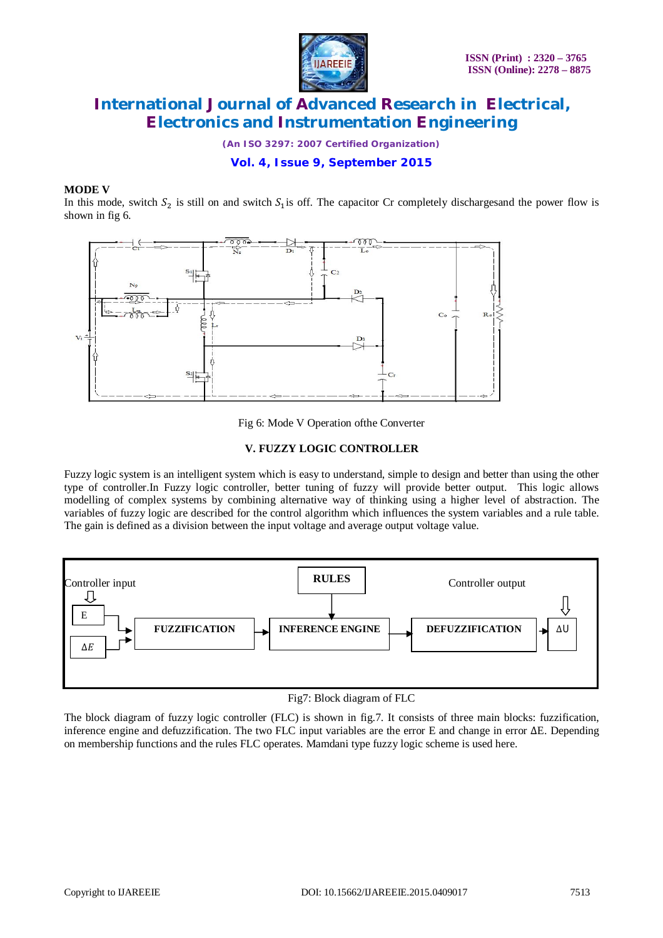

*(An ISO 3297: 2007 Certified Organization)*

**Vol. 4, Issue 9, September 2015**

#### **MODE V**

In this mode, switch  $S_2$  is still on and switch  $S_1$  is off. The capacitor Cr completely discharges and the power flow is shown in fig 6.



Fig 6: Mode V Operation ofthe Converter

### **V. FUZZY LOGIC CONTROLLER**

Fuzzy logic system is an intelligent system which is easy to understand, simple to design and better than using the other type of controller.In Fuzzy logic controller, better tuning of fuzzy will provide better output. This logic allows modelling of complex systems by combining alternative way of thinking using a higher level of abstraction. The variables of fuzzy logic are described for the control algorithm which influences the system variables and a rule table. The gain is defined as a division between the input voltage and average output voltage value.



Fig7: Block diagram of FLC

The block diagram of fuzzy logic controller (FLC) is shown in fig.7. It consists of three main blocks: fuzzification, inference engine and defuzzification. The two FLC input variables are the error E and change in error ∆E. Depending on membership functions and the rules FLC operates. Mamdani type fuzzy logic scheme is used here.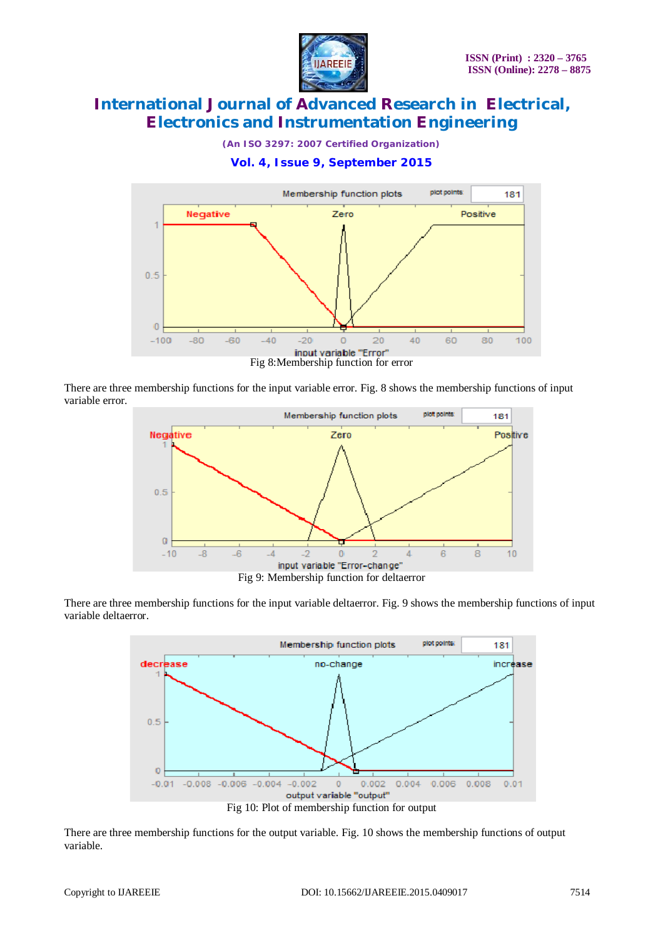

*(An ISO 3297: 2007 Certified Organization)*





There are three membership functions for the input variable error. Fig. 8 shows the membership functions of input variable error.



There are three membership functions for the input variable deltaerror. Fig. 9 shows the membership functions of input variable deltaerror.



There are three membership functions for the output variable. Fig. 10 shows the membership functions of output variable.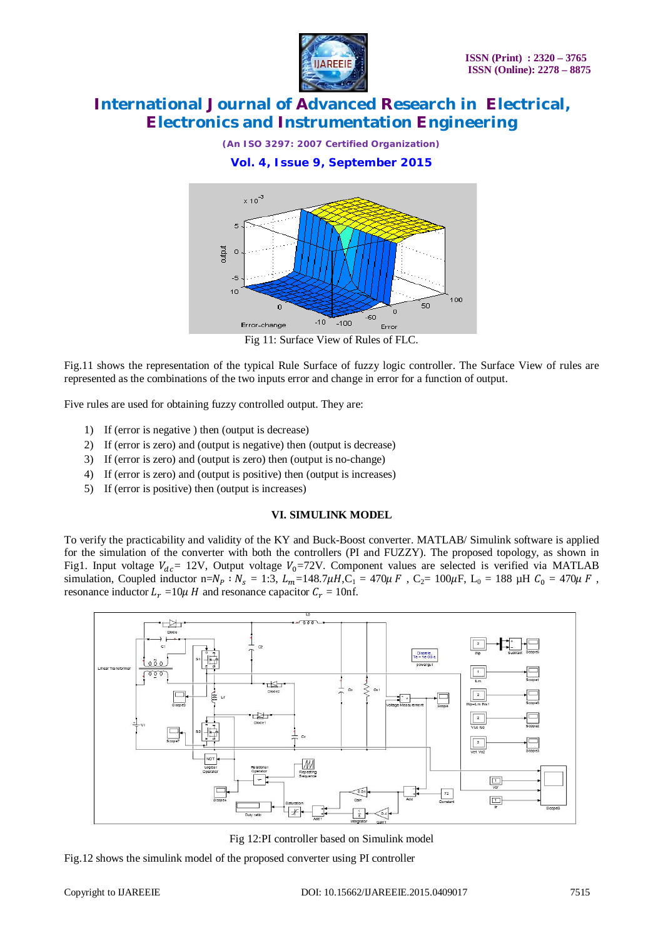

*(An ISO 3297: 2007 Certified Organization)*





Fig 11: Surface View of Rules of FLC.

Fig.11 shows the representation of the typical Rule Surface of fuzzy logic controller. The Surface View of rules are represented as the combinations of the two inputs error and change in error for a function of output.

Five rules are used for obtaining fuzzy controlled output. They are:

- 1) If (error is negative ) then (output is decrease)
- 2) If (error is zero) and (output is negative) then (output is decrease)
- 3) If (error is zero) and (output is zero) then (output is no-change)
- 4) If (error is zero) and (output is positive) then (output is increases)
- 5) If (error is positive) then (output is increases)

#### **VI. SIMULINK MODEL**

To verify the practicability and validity of the KY and Buck-Boost converter. MATLAB/ Simulink software is applied for the simulation of the converter with both the controllers (PI and FUZZY). The proposed topology, as shown in Fig1. Input voltage  $V_{dc}$  = 12V, Output voltage  $V_0$ =72V. Component values are selected is verified via MATLAB simulation, Coupled inductor n= $N_p$ :  $N_s = 1:3$ ,  $L_m = 148.7\mu H$ ,  $C_1 = 470\mu F$ ,  $C_2 = 100\mu F$ ,  $L_0 = 188 \mu H$   $C_0 = 470\mu F$ , resonance inductor  $L_r = 10\mu$  H and resonance capacitor  $C_r = 10$ nf.



Fig 12:PI controller based on Simulink model

Fig.12 shows the simulink model of the proposed converter using PI controller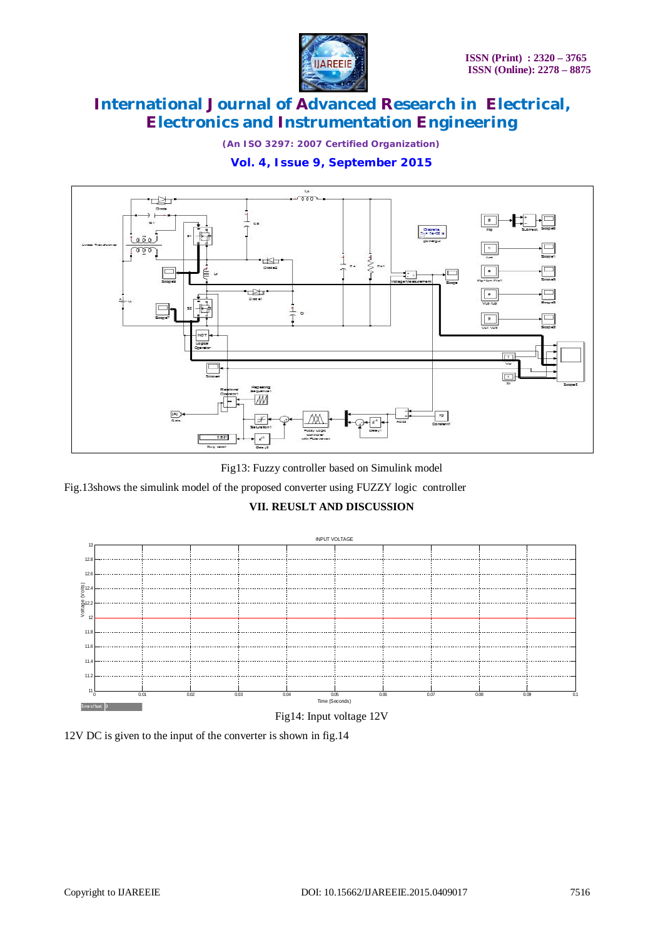

*(An ISO 3297: 2007 Certified Organization)*

### **Vol. 4, Issue 9, September 2015**



Fig13: Fuzzy controller based on Simulink model

Fig.13shows the simulink model of the proposed converter using FUZZY logic controller

### **VII. REUSLT AND DISCUSSION**



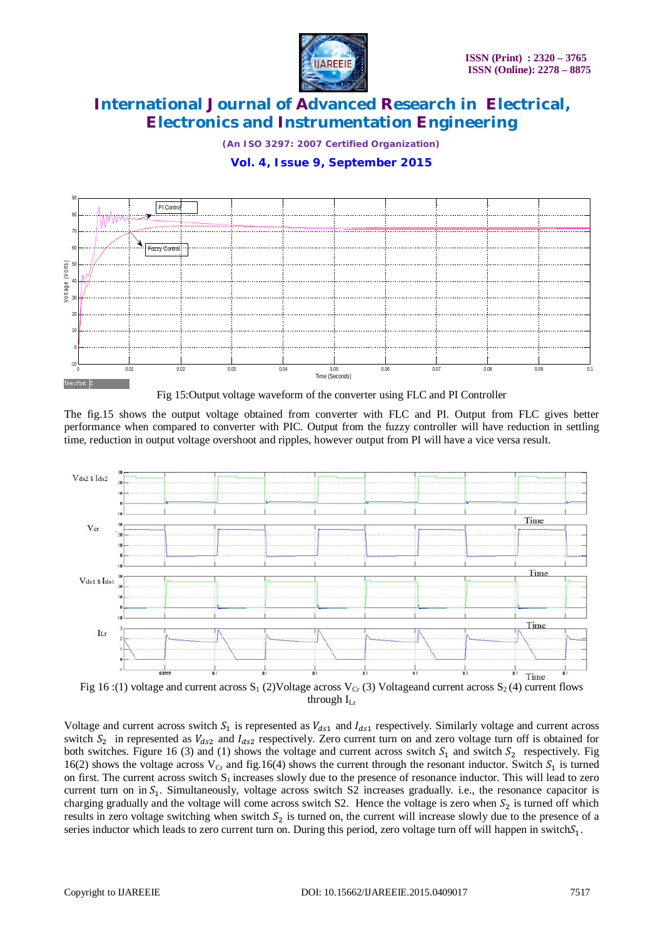

*(An ISO 3297: 2007 Certified Organization)*

### **Vol. 4, Issue 9, September 2015**



Fig 15:Output voltage waveform of the converter using FLC and PI Controller

The fig.15 shows the output voltage obtained from converter with FLC and PI. Output from FLC gives better performance when compared to converter with PIC. Output from the fuzzy controller will have reduction in settling time, reduction in output voltage overshoot and ripples, however output from PI will have a vice versa result.



Fig 16 :(1) voltage and current across  $S_1$  (2)Voltage across  $V_{Cr}$  (3) Voltageand current across  $S_2$  (4) current flows through  $I_{Lr}$ 

Voltage and current across switch  $S_1$  is represented as  $V_{ds1}$  and  $I_{ds1}$  respectively. Similarly voltage and current across switch  $S_2$  in represented as  $V_{ds2}$  and  $I_{ds2}$  respectively. Zero current turn on and zero voltage turn off is obtained for both switches. Figure 16 (3) and (1) shows the voltage and current across switch  $S_1$  and switch  $S_2$  respectively. Fig 16(2) shows the voltage across  $V_{Cr}$  and fig.16(4) shows the current through the resonant inductor. Switch  $S_1$  is turned on first. The current across switch  $S_1$  increases slowly due to the presence of resonance inductor. This will lead to zero current turn on in  $S_1$ . Simultaneously, voltage across switch S2 increases gradually. i.e., the resonance capacitor is charging gradually and the voltage will come across switch S2. Hence the voltage is zero when  $S_2$  is turned off which results in zero voltage switching when switch  $S_2$  is turned on, the current will increase slowly due to the presence of a series inductor which leads to zero current turn on. During this period, zero voltage turn off will happen in switch $S_1$ .